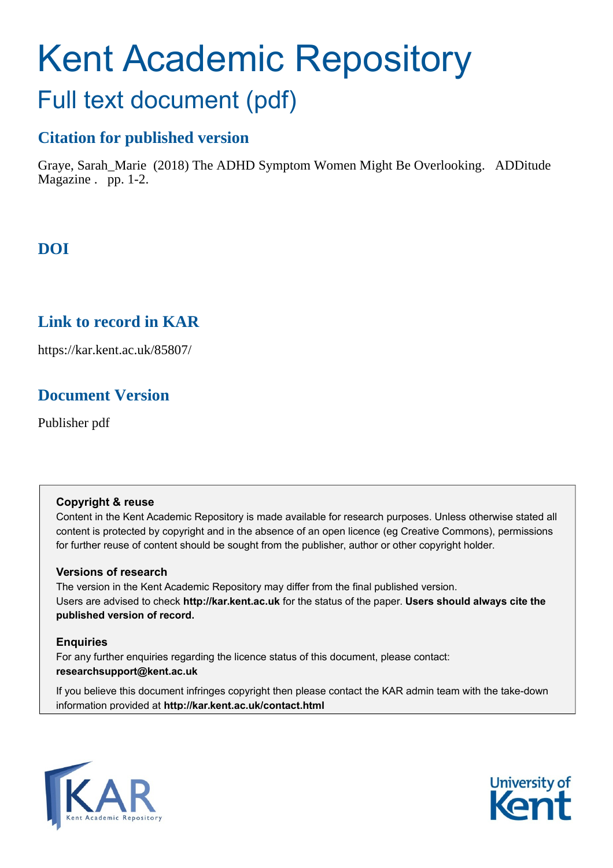# Kent Academic Repository

## Full text document (pdf)

## **Citation for published version**

Graye, Sarah\_Marie (2018) The ADHD Symptom Women Might Be Overlooking. ADDitude Magazine . pp. 1-2.

## **DOI**

## **Link to record in KAR**

https://kar.kent.ac.uk/85807/

## **Document Version**

Publisher pdf

#### **Copyright & reuse**

Content in the Kent Academic Repository is made available for research purposes. Unless otherwise stated all content is protected by copyright and in the absence of an open licence (eg Creative Commons), permissions for further reuse of content should be sought from the publisher, author or other copyright holder.

#### **Versions of research**

The version in the Kent Academic Repository may differ from the final published version. Users are advised to check **http://kar.kent.ac.uk** for the status of the paper. **Users should always cite the published version of record.**

#### **Enquiries**

For any further enquiries regarding the licence status of this document, please contact: **researchsupport@kent.ac.uk**

If you believe this document infringes copyright then please contact the KAR admin team with the take-down information provided at **http://kar.kent.ac.uk/contact.html**



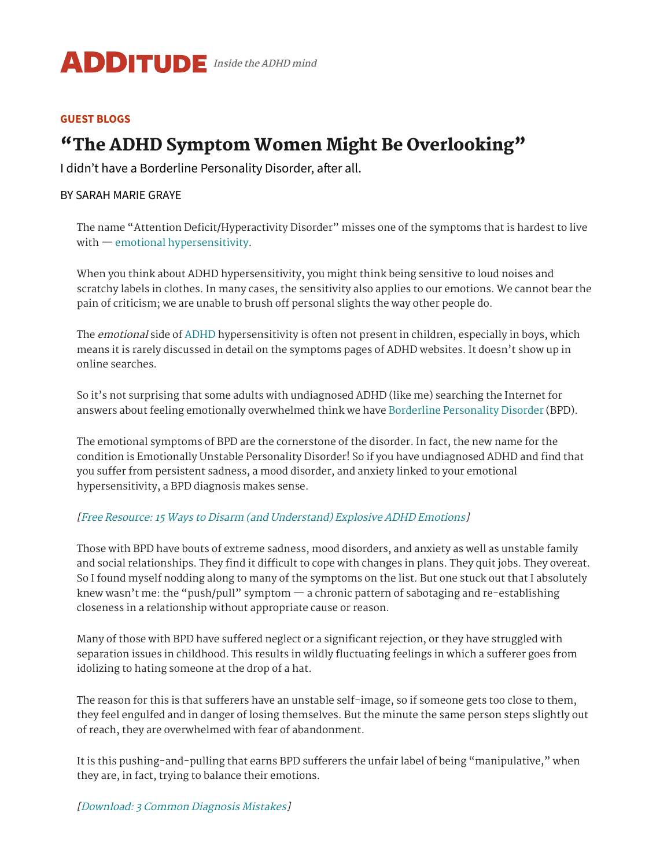

#### **GUEST [BLOGS](https://www.additudemag.com/category/blog/)**

## "The ADHD Symptom Women Might Be Overlooking"

I didn't have a Borderline Personality Disorder, after all.

#### BY [SARAH MARIE GRAYE](https://www.additudemag.com/author/sarah-marie-graye/)

The name "Attention Deficit/Hyperactivity Disorder" misses one of the symptoms that is hardest to live with — emotional [hypersensitivity.](https://www.additudemag.com/rejection-sensitive-dysphoria-how-to-treat-it-alongside-adhd/)

When you think about ADHD hypersensitivity, you might think being sensitive to loud noises and scratchy labels in clothes. In many cases, the sensitivity also applies to our emotions. We cannot bear the pain of criticism; we are unable to brush off personal slights the way other people do.

The emotional side of [ADHD](https://www.additudemag.com/what-is-adhd-symptoms-causes-treatments/) hypersensitivity is often not present in children, especially in boys, which means it is rarely discussed in detail on the symptoms pages of ADHD websites. It doesn't show up in online searches.

So it's not surprising that some adults with undiagnosed ADHD (like me) searching the Internet for answers about feeling emotionally overwhelmed think we have Borderline [Personality](https://www.additudemag.com/slideshows/adhd-misdiagnosis/) Disorder (BPD).

The emotional symptoms of BPD are the cornerstone of the disorder. In fact, the new name for the condition is Emotionally Unstable Personality Disorder! So if you have undiagnosed ADHD and find that you suffer from persistent sadness, a mood disorder, and anxiety linked to your emotional hypersensitivity, a BPD diagnosis makes sense.

#### [Free Resource: 15 Ways to Disarm (and [Understand\)](https://www.additudemag.com/download/understanding-adhd-emotions-strategies-for-managing-feelings/?src=embed_link) Explosive ADHD Emotions]

Those with BPD have bouts of extreme sadness, mood disorders, and anxiety as well as unstable family and social relationships. They find it difficult to cope with changes in plans. They quit jobs. They overeat. So I found myself nodding along to many of the symptoms on the list. But one stuck out that I absolutely knew wasn't me: the "push/pull" symptom  $-$  a chronic pattern of sabotaging and re-establishing closeness in a relationship without appropriate cause or reason.

Many of those with BPD have suffered neglect or a significant rejection, or they have struggled with separation issues in childhood. This results in wildly fluctuating feelings in which a sufferer goes from idolizing to hating someone at the drop of a hat.

The reason for this is that sufferers have an unstable self-image, so if someone gets too close to them, they feel engulfed and in danger of losing themselves. But the minute the same person steps slightly out of reach, they are overwhelmed with fear of abandonment.

It is this pushing-and-pulling that earns BPD sufferers the unfair label of being "manipulative," when they are, in fact, trying to balance their emotions.